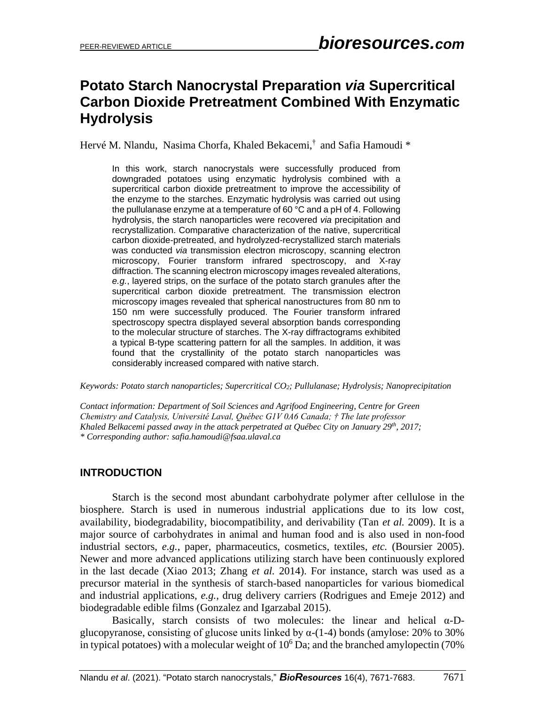# **Potato Starch Nanocrystal Preparation** *via* **Supercritical Carbon Dioxide Pretreatment Combined With Enzymatic Hydrolysis**

Hervé M. Nlandu, Nasima Chorfa, Khaled Bekacemi,<sup>†</sup> and Safia Hamoudi \*

In this work, starch nanocrystals were successfully produced from downgraded potatoes using enzymatic hydrolysis combined with a supercritical carbon dioxide pretreatment to improve the accessibility of the enzyme to the starches. Enzymatic hydrolysis was carried out using the pullulanase enzyme at a temperature of 60 °C and a pH of 4. Following hydrolysis, the starch nanoparticles were recovered *via* precipitation and recrystallization. Comparative characterization of the native, supercritical carbon dioxide-pretreated, and hydrolyzed-recrystallized starch materials was conducted *via* transmission electron microscopy, scanning electron microscopy, Fourier transform infrared spectroscopy, and X-ray diffraction. The scanning electron microscopy images revealed alterations, *e.g.*, layered strips, on the surface of the potato starch granules after the supercritical carbon dioxide pretreatment. The transmission electron microscopy images revealed that spherical nanostructures from 80 nm to 150 nm were successfully produced. The Fourier transform infrared spectroscopy spectra displayed several absorption bands corresponding to the molecular structure of starches. The X-ray diffractograms exhibited a typical B-type scattering pattern for all the samples. In addition, it was found that the crystallinity of the potato starch nanoparticles was considerably increased compared with native starch.

*Keywords: Potato starch nanoparticles; Supercritical CO2; Pullulanase; Hydrolysis; Nanoprecipitation*

*Contact information: Department of Soil Sciences and Agrifood Engineering, Centre for Green Chemistry and Catalysis, Université Laval, Québec G1V 0A6 Canada; † The late professor Khaled Belkacemi passed away in the attack perpetrated at Québec City on January 29th , 2017; \* Corresponding author: safia.hamoudi@fsaa.ulaval.ca*

# **INTRODUCTION**

Starch is the second most abundant carbohydrate polymer after cellulose in the biosphere. Starch is used in numerous industrial applications due to its low cost, availability, biodegradability, biocompatibility, and derivability (Tan *et al.* 2009). It is a major source of carbohydrates in animal and human food and is also used in non-food industrial sectors, *e.g.*, paper, pharmaceutics, cosmetics, textiles, *etc.* (Boursier 2005). Newer and more advanced applications utilizing starch have been continuously explored in the last decade (Xiao 2013; Zhang *et al.* 2014). For instance, starch was used as a precursor material in the synthesis of starch-based nanoparticles for various biomedical and industrial applications, *e.g.*, drug delivery carriers (Rodrigues and Emeje 2012) and biodegradable edible films (Gonzalez and Igarzabal 2015).

Basically, starch consists of two molecules: the linear and helical α-Dglucopyranose, consisting of glucose units linked by  $\alpha$ -(1-4) bonds (amylose: 20% to 30% in typical potatoes) with a molecular weight of  $10^6$  Da; and the branched amylopectin (70%)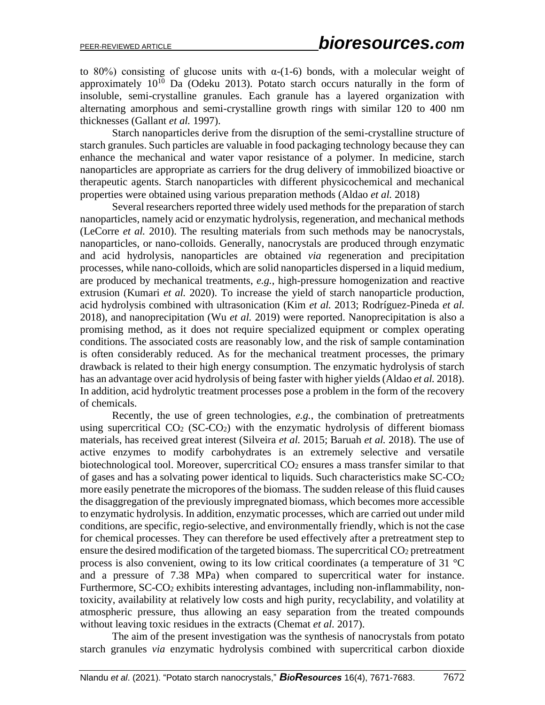to 80%) consisting of glucose units with  $\alpha$ -(1-6) bonds, with a molecular weight of approximately  $10^{10}$  Da (Odeku 2013). Potato starch occurs naturally in the form of insoluble, semi-crystalline granules. Each granule has a layered organization with alternating amorphous and semi-crystalline growth rings with similar 120 to 400 nm thicknesses (Gallant *et al.* 1997).

Starch nanoparticles derive from the disruption of the semi-crystalline structure of starch granules. Such particles are valuable in food packaging technology because they can enhance the mechanical and water vapor resistance of a polymer. In medicine, starch nanoparticles are appropriate as carriers for the drug delivery of immobilized bioactive or therapeutic agents. Starch nanoparticles with different physicochemical and mechanical properties were obtained using various preparation methods (Aldao *et al.* 2018)

Several researchers reported three widely used methods for the preparation of starch nanoparticles, namely acid or enzymatic hydrolysis, regeneration, and mechanical methods (LeCorre *et al.* 2010). The resulting materials from such methods may be nanocrystals, nanoparticles, or nano-colloids. Generally, nanocrystals are produced through enzymatic and acid hydrolysis, nanoparticles are obtained *via* regeneration and precipitation processes, while nano-colloids, which are solid nanoparticles dispersed in a liquid medium, are produced by mechanical treatments, *e.g.*, high-pressure homogenization and reactive extrusion (Kumari *et al.* 2020). To increase the yield of starch nanoparticle production, acid hydrolysis combined with ultrasonication (Kim *et al.* 2013; Rodríguez-Pineda *et al.* 2018), and nanoprecipitation (Wu *et al.* 2019) were reported. Nanoprecipitation is also a promising method, as it does not require specialized equipment or complex operating conditions. The associated costs are reasonably low, and the risk of sample contamination is often considerably reduced. As for the mechanical treatment processes, the primary drawback is related to their high energy consumption. The enzymatic hydrolysis of starch has an advantage over acid hydrolysis of being faster with higher yields (Aldao *et al.* 2018). In addition, acid hydrolytic treatment processes pose a problem in the form of the recovery of chemicals.

Recently, the use of green technologies, *e.g.*, the combination of pretreatments using supercritical  $CO<sub>2</sub> (SC-CO<sub>2</sub>)$  with the enzymatic hydrolysis of different biomass materials, has received great interest (Silveira *et al.* 2015; Baruah *et al.* 2018). The use of active enzymes to modify carbohydrates is an extremely selective and versatile biotechnological tool. Moreover, supercritical CO<sub>2</sub> ensures a mass transfer similar to that of gases and has a solvating power identical to liquids. Such characteristics make SC-CO<sup>2</sup> more easily penetrate the micropores of the biomass. The sudden release of this fluid causes the disaggregation of the previously impregnated biomass, which becomes more accessible to enzymatic hydrolysis. In addition, enzymatic processes, which are carried out under mild conditions, are specific, regio-selective, and environmentally friendly, which is not the case for chemical processes. They can therefore be used effectively after a pretreatment step to ensure the desired modification of the targeted biomass. The supercritical CO<sub>2</sub> pretreatment process is also convenient, owing to its low critical coordinates (a temperature of 31 °C and a pressure of 7.38 MPa) when compared to supercritical water for instance. Furthermore, SC-CO<sub>2</sub> exhibits interesting advantages, including non-inflammability, nontoxicity, availability at relatively low costs and high purity, recyclability, and volatility at atmospheric pressure, thus allowing an easy separation from the treated compounds without leaving toxic residues in the extracts (Chemat *et al.* 2017).

The aim of the present investigation was the synthesis of nanocrystals from potato starch granules *via* enzymatic hydrolysis combined with supercritical carbon dioxide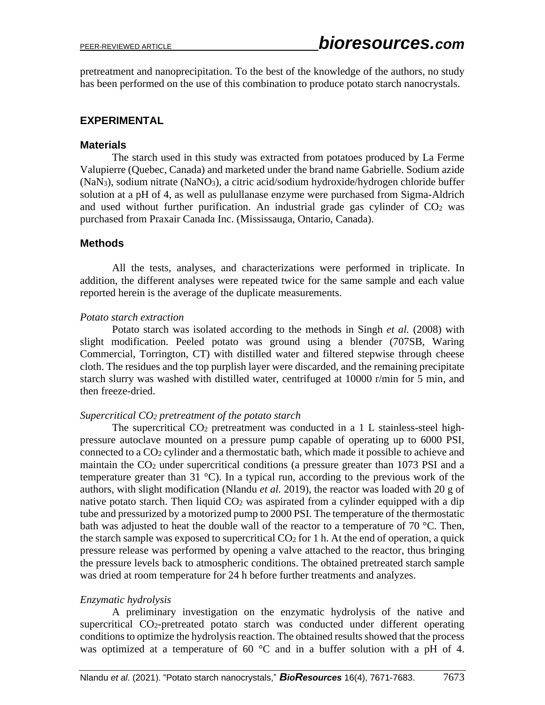pretreatment and nanoprecipitation. To the best of the knowledge of the authors, no study has been performed on the use of this combination to produce potato starch nanocrystals.

## **EXPERIMENTAL**

#### **Materials**

The starch used in this study was extracted from potatoes produced by La Ferme Valupierre (Quebec, Canada) and marketed under the brand name Gabrielle. Sodium azide (NaN3), sodium nitrate (NaNO3), a citric acid/sodium hydroxide/hydrogen chloride buffer solution at a pH of 4, as well as pulullanase enzyme were purchased from Sigma-Aldrich and used without further purification. An industrial grade gas cylinder of  $CO<sub>2</sub>$  was purchased from Praxair Canada Inc. (Mississauga, Ontario, Canada).

#### **Methods**

All the tests, analyses, and characterizations were performed in triplicate. In addition, the different analyses were repeated twice for the same sample and each value reported herein is the average of the duplicate measurements.

#### *Potato starch extraction*

Potato starch was isolated according to the methods in Singh *et al.* (2008) with slight modification. Peeled potato was ground using a blender (707SB, Waring Commercial, Torrington, CT) with distilled water and filtered stepwise through cheese cloth. The residues and the top purplish layer were discarded, and the remaining precipitate starch slurry was washed with distilled water, centrifuged at 10000 r/min for 5 min, and then freeze-dried.

#### *Supercritical CO<sup>2</sup> pretreatment of the potato starch*

The supercritical  $CO<sub>2</sub>$  pretreatment was conducted in a 1 L stainless-steel highpressure autoclave mounted on a pressure pump capable of operating up to 6000 PSI, connected to a CO<sup>2</sup> cylinder and a thermostatic bath, which made it possible to achieve and maintain the CO<sup>2</sup> under supercritical conditions (a pressure greater than 1073 PSI and a temperature greater than 31  $^{\circ}$ C). In a typical run, according to the previous work of the authors, with slight modification (Nlandu *et al.* 2019), the reactor was loaded with 20 g of native potato starch. Then liquid  $CO<sub>2</sub>$  was aspirated from a cylinder equipped with a dip tube and pressurized by a motorized pump to 2000 PSI. The temperature of the thermostatic bath was adjusted to heat the double wall of the reactor to a temperature of 70  $^{\circ}$ C. Then, the starch sample was exposed to supercritical  $CO<sub>2</sub>$  for 1 h. At the end of operation, a quick pressure release was performed by opening a valve attached to the reactor, thus bringing the pressure levels back to atmospheric conditions. The obtained pretreated starch sample was dried at room temperature for 24 h before further treatments and analyzes.

## *Enzymatic hydrolysis*

A preliminary investigation on the enzymatic hydrolysis of the native and supercritical CO2-pretreated potato starch was conducted under different operating conditions to optimize the hydrolysis reaction. The obtained results showed that the process was optimized at a temperature of 60 °C and in a buffer solution with a pH of 4.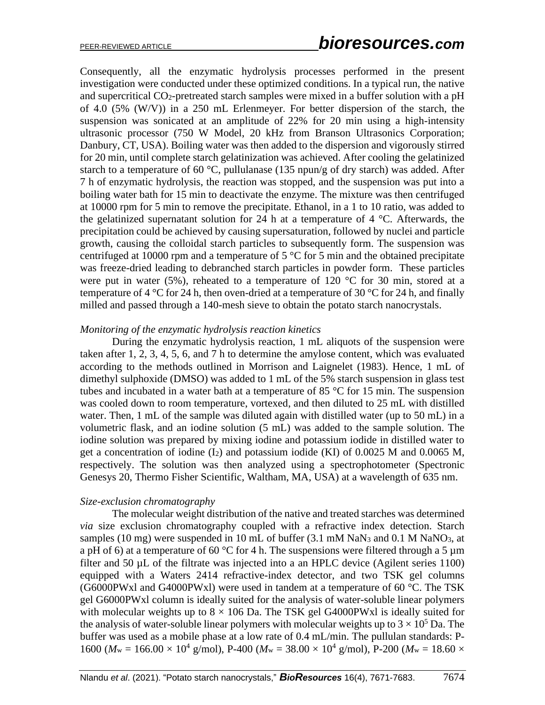Consequently, all the enzymatic hydrolysis processes performed in the present investigation were conducted under these optimized conditions. In a typical run, the native and supercritical CO<sub>2</sub>-pretreated starch samples were mixed in a buffer solution with a pH of 4.0 (5% (W/V)) in a 250 mL Erlenmeyer. For better dispersion of the starch, the suspension was sonicated at an amplitude of 22% for 20 min using a high-intensity ultrasonic processor (750 W Model, 20 kHz from Branson Ultrasonics Corporation; Danbury, CT, USA). Boiling water was then added to the dispersion and vigorously stirred for 20 min, until complete starch gelatinization was achieved. After cooling the gelatinized starch to a temperature of 60  $^{\circ}$ C, pullulanase (135 npun/g of dry starch) was added. After 7 h of enzymatic hydrolysis, the reaction was stopped, and the suspension was put into a boiling water bath for 15 min to deactivate the enzyme. The mixture was then centrifuged at 10000 rpm for 5 min to remove the precipitate. Ethanol, in a 1 to 10 ratio, was added to the gelatinized supernatant solution for 24 h at a temperature of 4  $^{\circ}$ C. Afterwards, the precipitation could be achieved by causing supersaturation, followed by nuclei and particle growth, causing the colloidal starch particles to subsequently form. The suspension was centrifuged at 10000 rpm and a temperature of  $5^{\circ}$ C for 5 min and the obtained precipitate was freeze-dried leading to debranched starch particles in powder form. These particles were put in water (5%), reheated to a temperature of 120  $^{\circ}$ C for 30 min, stored at a temperature of 4  $^{\circ}$ C for 24 h, then oven-dried at a temperature of 30  $^{\circ}$ C for 24 h, and finally milled and passed through a 140-mesh sieve to obtain the potato starch nanocrystals.

#### *Monitoring of the enzymatic hydrolysis reaction kinetics*

During the enzymatic hydrolysis reaction, 1 mL aliquots of the suspension were taken after 1, 2, 3, 4, 5, 6, and 7 h to determine the amylose content, which was evaluated according to the methods outlined in Morrison and Laignelet (1983). Hence, 1 mL of dimethyl sulphoxide (DMSO) was added to 1 mL of the 5% starch suspension in glass test tubes and incubated in a water bath at a temperature of 85  $\degree$ C for 15 min. The suspension was cooled down to room temperature, vortexed, and then diluted to 25 mL with distilled water. Then, 1 mL of the sample was diluted again with distilled water (up to 50 mL) in a volumetric flask, and an iodine solution (5 mL) was added to the sample solution. The iodine solution was prepared by mixing iodine and potassium iodide in distilled water to get a concentration of iodine  $(I_2)$  and potassium iodide (KI) of 0.0025 M and 0.0065 M, respectively. The solution was then analyzed using a spectrophotometer (Spectronic Genesys 20, Thermo Fisher Scientific, Waltham, MA, USA) at a wavelength of 635 nm.

#### *Size-exclusion chromatography*

The molecular weight distribution of the native and treated starches was determined *via* size exclusion chromatography coupled with a refractive index detection. Starch samples (10 mg) were suspended in 10 mL of buffer (3.1 mM NaN<sub>3</sub> and 0.1 M NaNO<sub>3</sub>, at a pH of 6) at a temperature of 60 °C for 4 h. The suspensions were filtered through a 5  $\mu$ m filter and 50 µL of the filtrate was injected into a an HPLC device (Agilent series 1100) equipped with a Waters 2414 refractive-index detector, and two TSK gel columns (G6000PWxl and G4000PWxl) were used in tandem at a temperature of 60  $\degree$ C. The TSK gel G6000PWxl column is ideally suited for the analysis of water-soluble linear polymers with molecular weights up to  $8 \times 106$  Da. The TSK gel G4000PWxl is ideally suited for the analysis of water-soluble linear polymers with molecular weights up to  $3 \times 10^5$  Da. The buffer was used as a mobile phase at a low rate of 0.4 mL/min. The pullulan standards: P-1600 ( $M_w = 166.00 \times 10^4$  g/mol), P-400 ( $M_w = 38.00 \times 10^4$  g/mol), P-200 ( $M_w = 18.60 \times$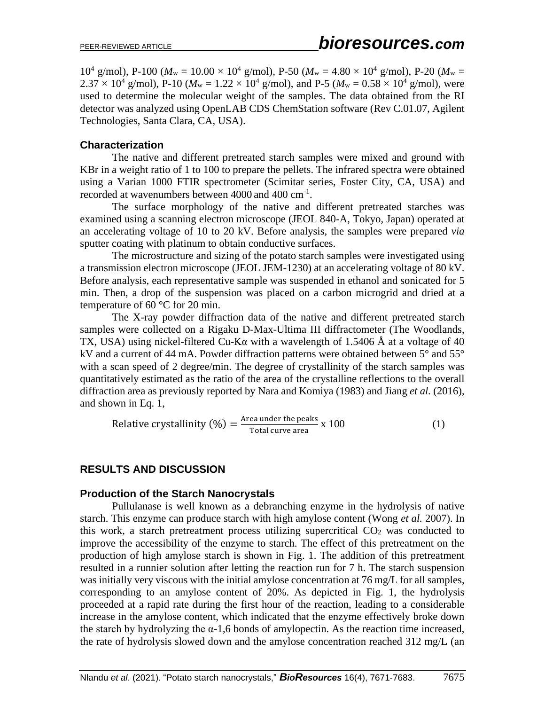10<sup>4</sup> g/mol), P-100 ( $M_w = 10.00 \times 10^4$  g/mol), P-50 ( $M_w = 4.80 \times 10^4$  g/mol), P-20 ( $M_w =$  $2.37 \times 10^4$  g/mol), P-10 ( $M_w = 1.22 \times 10^4$  g/mol), and P-5 ( $M_w = 0.58 \times 10^4$  g/mol), were used to determine the molecular weight of the samples. The data obtained from the RI detector was analyzed using OpenLAB CDS ChemStation software (Rev C.01.07, Agilent Technologies, Santa Clara, CA, USA).

## **Characterization**

The native and different pretreated starch samples were mixed and ground with KBr in a weight ratio of 1 to 100 to prepare the pellets. The infrared spectra were obtained using a Varian 1000 FTIR spectrometer (Scimitar series, Foster City, CA, USA) and recorded at wavenumbers between 4000 and 400 cm<sup>-1</sup>.

The surface morphology of the native and different pretreated starches was examined using a scanning electron microscope (JEOL 840-A, Tokyo, Japan) operated at an accelerating voltage of 10 to 20 kV. Before analysis, the samples were prepared *via* sputter coating with platinum to obtain conductive surfaces.

The microstructure and sizing of the potato starch samples were investigated using a transmission electron microscope (JEOL JEM-1230) at an accelerating voltage of 80 kV. Before analysis, each representative sample was suspended in ethanol and sonicated for 5 min. Then, a drop of the suspension was placed on a carbon microgrid and dried at a temperature of 60 °C for 20 min.

The X-ray powder diffraction data of the native and different pretreated starch samples were collected on a Rigaku D-Max-Ultima III diffractometer (The Woodlands, TX, USA) using nickel-filtered Cu-K $\alpha$  with a wavelength of 1.5406 Å at a voltage of 40 kV and a current of 44 mA. Powder diffraction patterns were obtained between 5° and 55° with a scan speed of 2 degree/min. The degree of crystallinity of the starch samples was quantitatively estimated as the ratio of the area of the crystalline reflections to the overall diffraction area as previously reported by Nara and Komiya (1983) and Jiang *et al.* (2016), and shown in Eq. 1,

Relative crystallinity (
$$
\% = \frac{\text{Area under the peaks}}{\text{Total curve area}} \times 100
$$
 (1)

# **RESULTS AND DISCUSSION**

## **Production of the Starch Nanocrystals**

Pullulanase is well known as a debranching enzyme in the hydrolysis of native starch. This enzyme can produce starch with high amylose content (Wong *et al.* 2007). In this work, a starch pretreatment process utilizing supercritical  $CO<sub>2</sub>$  was conducted to improve the accessibility of the enzyme to starch. The effect of this pretreatment on the production of high amylose starch is shown in Fig. 1. The addition of this pretreatment resulted in a runnier solution after letting the reaction run for 7 h. The starch suspension was initially very viscous with the initial amylose concentration at 76 mg/L for all samples, corresponding to an amylose content of 20%. As depicted in Fig. 1, the hydrolysis proceeded at a rapid rate during the first hour of the reaction, leading to a considerable increase in the amylose content, which indicated that the enzyme effectively broke down the starch by hydrolyzing the  $\alpha$ -1,6 bonds of amylopectin. As the reaction time increased, the rate of hydrolysis slowed down and the amylose concentration reached 312 mg/L (an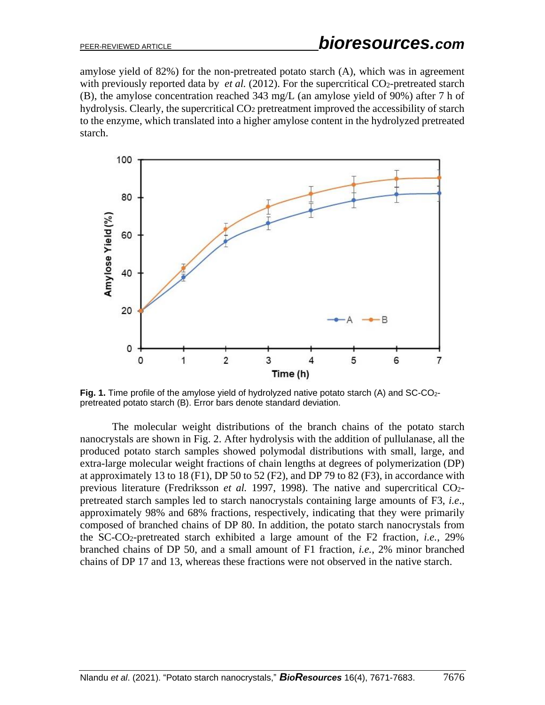amylose yield of 82%) for the non-pretreated potato starch (A), which was in agreement with previously reported data by *et al.* (2012). For the supercritical CO<sub>2</sub>-pretreated starch (B), the amylose concentration reached 343 mg/L (an amylose yield of 90%) after 7 h of hydrolysis. Clearly, the supercritical CO<sub>2</sub> pretreatment improved the accessibility of starch to the enzyme, which translated into a higher amylose content in the hydrolyzed pretreated starch.



Fig. 1. Time profile of the amylose yield of hydrolyzed native potato starch (A) and SC-CO<sub>2</sub>pretreated potato starch (B). Error bars denote standard deviation.

The molecular weight distributions of the branch chains of the potato starch nanocrystals are shown in Fig. 2. After hydrolysis with the addition of pullulanase, all the produced potato starch samples showed polymodal distributions with small, large, and extra-large molecular weight fractions of chain lengths at degrees of polymerization (DP) at approximately 13 to 18 (F1), DP 50 to 52 (F2), and DP 79 to 82 (F3), in accordance with previous literature (Fredriksson *et al.* 1997, 1998). The native and supercritical CO2 pretreated starch samples led to starch nanocrystals containing large amounts of F3, *i.e*., approximately 98% and 68% fractions, respectively, indicating that they were primarily composed of branched chains of DP 80. In addition, the potato starch nanocrystals from the SC-CO2-pretreated starch exhibited a large amount of the F2 fraction, *i.e.*, 29% branched chains of DP 50, and a small amount of F1 fraction, *i.e.*, 2% minor branched chains of DP 17 and 13, whereas these fractions were not observed in the native starch.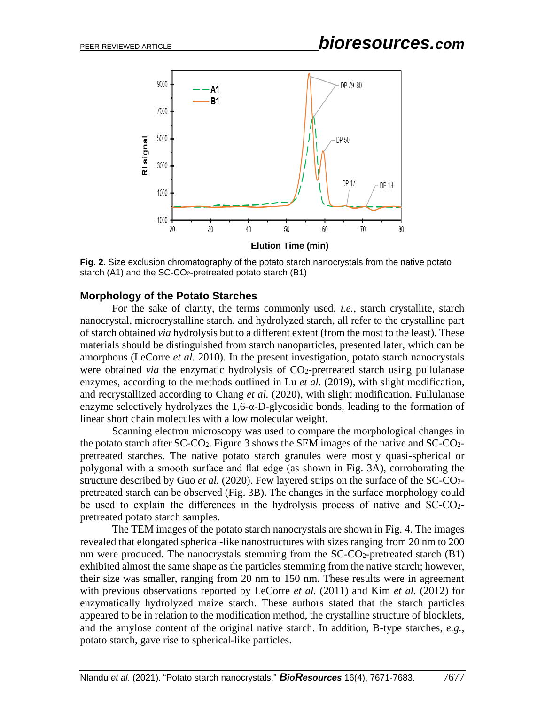

**Fig. 2.** Size exclusion chromatography of the potato starch nanocrystals from the native potato starch (A1) and the SC-CO<sub>2</sub>-pretreated potato starch (B1)

#### **Morphology of the Potato Starches**

For the sake of clarity, the terms commonly used, *i.e.*, starch crystallite, starch nanocrystal, microcrystalline starch, and hydrolyzed starch, all refer to the crystalline part of starch obtained *via* hydrolysis but to a different extent (from the most to the least). These materials should be distinguished from starch nanoparticles, presented later, which can be amorphous (LeCorre *et al.* 2010). In the present investigation, potato starch nanocrystals were obtained *via* the enzymatic hydrolysis of CO<sub>2</sub>-pretreated starch using pullulanase enzymes, according to the methods outlined in Lu *et al.* (2019), with slight modification, and recrystallized according to Chang *et al.* (2020), with slight modification. Pullulanase enzyme selectively hydrolyzes the  $1,6$ -α-D-glycosidic bonds, leading to the formation of linear short chain molecules with a low molecular weight.

Scanning electron microscopy was used to compare the morphological changes in the potato starch after SC-CO2. Figure 3 shows the SEM images of the native and SC-CO2 pretreated starches. The native potato starch granules were mostly quasi-spherical or polygonal with a smooth surface and flat edge (as shown in Fig. 3A), corroborating the structure described by Guo *et al.* (2020). Few layered strips on the surface of the SC-CO2 pretreated starch can be observed (Fig. 3B). The changes in the surface morphology could be used to explain the differences in the hydrolysis process of native and  $SC-CO<sub>2</sub>$ pretreated potato starch samples.

The TEM images of the potato starch nanocrystals are shown in Fig. 4. The images revealed that elongated spherical-like nanostructures with sizes ranging from 20 nm to 200 nm were produced. The nanocrystals stemming from the SC-CO2-pretreated starch (B1) exhibited almost the same shape as the particles stemming from the native starch; however, their size was smaller, ranging from 20 nm to 150 nm. These results were in agreement with previous observations reported by LeCorre *et al.* (2011) and Kim *et al.* (2012) for enzymatically hydrolyzed maize starch. These authors stated that the starch particles appeared to be in relation to the modification method, the crystalline structure of blocklets, and the amylose content of the original native starch. In addition, B-type starches, *e.g.*, potato starch, gave rise to spherical-like particles.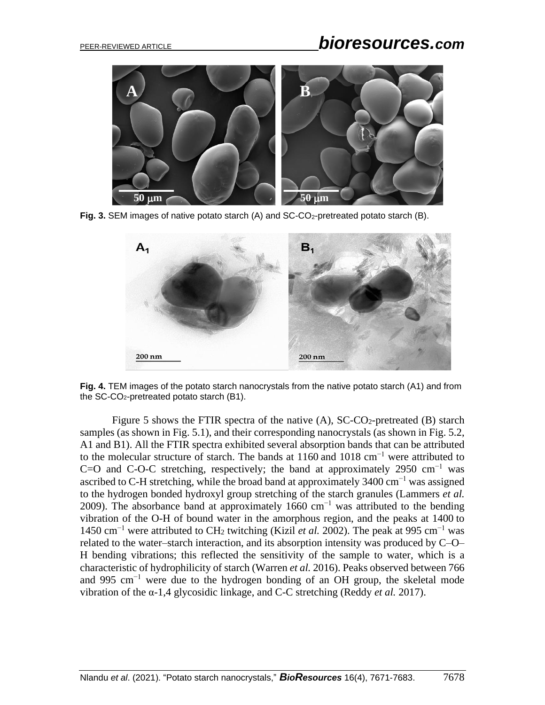

Fig. 3. SEM images of native potato starch (A) and SC-CO<sub>2</sub>-pretreated potato starch (B).



**Fig. 4.** TEM images of the potato starch nanocrystals from the native potato starch (A1) and from the SC-CO2-pretreated potato starch (B1).

Figure 5 shows the FTIR spectra of the native  $(A)$ , SC-CO<sub>2</sub>-pretreated  $(B)$  starch samples (as shown in Fig. 5.1), and their corresponding nanocrystals (as shown in Fig. 5.2, A1 and B1). All the FTIR spectra exhibited several absorption bands that can be attributed to the molecular structure of starch. The bands at 1160 and 1018 cm<sup>-1</sup> were attributed to C=O and C-O-C stretching, respectively; the band at approximately 2950 cm<sup>-1</sup> was ascribed to C-H stretching, while the broad band at approximately  $3400 \text{ cm}^{-1}$  was assigned to the hydrogen bonded hydroxyl group stretching of the starch granules (Lammers *et al.*  2009). The absorbance band at approximately 1660 cm−1 was attributed to the bending vibration of the O-H of bound water in the amorphous region, and the peaks at 1400 to 1450 cm−1 were attributed to CH<sup>2</sup> twitching (Kizil *et al.* 2002). The peak at 995 cm−1 was related to the water–starch interaction, and its absorption intensity was produced by C–O– H bending vibrations; this reflected the sensitivity of the sample to water, which is a characteristic of hydrophilicity of starch (Warren *et al.* 2016). Peaks observed between 766 and 995 cm−1 were due to the hydrogen bonding of an OH group, the skeletal mode vibration of the α-1,4 glycosidic linkage, and C-C stretching (Reddy *et al.* 2017).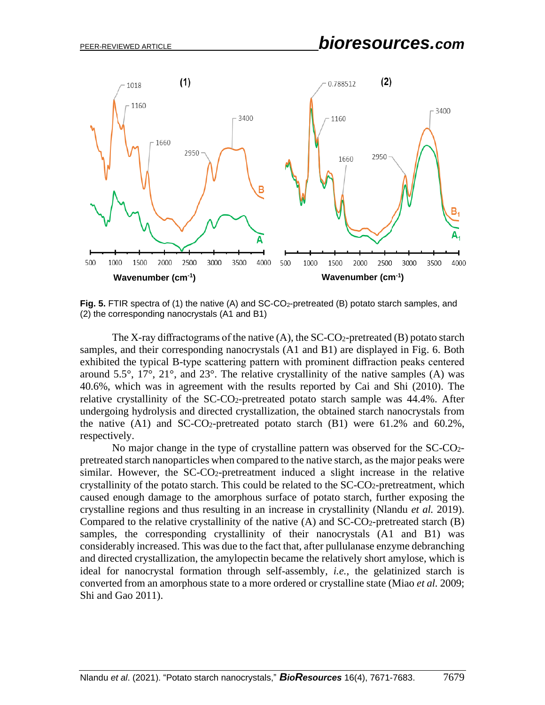

Fig. 5. FTIR spectra of (1) the native (A) and SC-CO<sub>2</sub>-pretreated (B) potato starch samples, and (2) the corresponding nanocrystals (A1 and B1)

The X-ray diffractograms of the native  $(A)$ , the SC-CO<sub>2</sub>-pretreated  $(B)$  potato starch samples, and their corresponding nanocrystals (A1 and B1) are displayed in Fig. 6. Both exhibited the typical B-type scattering pattern with prominent diffraction peaks centered around  $5.5^{\circ}$ ,  $17^{\circ}$ ,  $21^{\circ}$ , and  $23^{\circ}$ . The relative crystallinity of the native samples (A) was 40.6%, which was in agreement with the results reported by Cai and Shi (2010). The relative crystallinity of the  $SC-CO<sub>2</sub>$ -pretreated potato starch sample was  $44.4\%$ . After undergoing hydrolysis and directed crystallization, the obtained starch nanocrystals from the native  $(A1)$  and SC-CO<sub>2</sub>-pretreated potato starch  $(B1)$  were 61.2% and 60.2%, respectively.

No major change in the type of crystalline pattern was observed for the SC-CO2 pretreated starch nanoparticles when compared to the native starch, as the major peaks were similar. However, the SC-CO2-pretreatment induced a slight increase in the relative crystallinity of the potato starch. This could be related to the SC-CO2-pretreatment, which caused enough damage to the amorphous surface of potato starch, further exposing the crystalline regions and thus resulting in an increase in crystallinity (Nlandu *et al.* 2019). Compared to the relative crystallinity of the native  $(A)$  and  $SC\text{-}CO<sub>2</sub>$ -pretreated starch  $(B)$ samples, the corresponding crystallinity of their nanocrystals (A1 and B1) was considerably increased. This was due to the fact that, after pullulanase enzyme debranching and directed crystallization, the amylopectin became the relatively short amylose, which is ideal for nanocrystal formation through self-assembly, *i.e.*, the gelatinized starch is converted from an amorphous state to a more ordered or crystalline state (Miao *et al.* 2009; Shi and Gao 2011).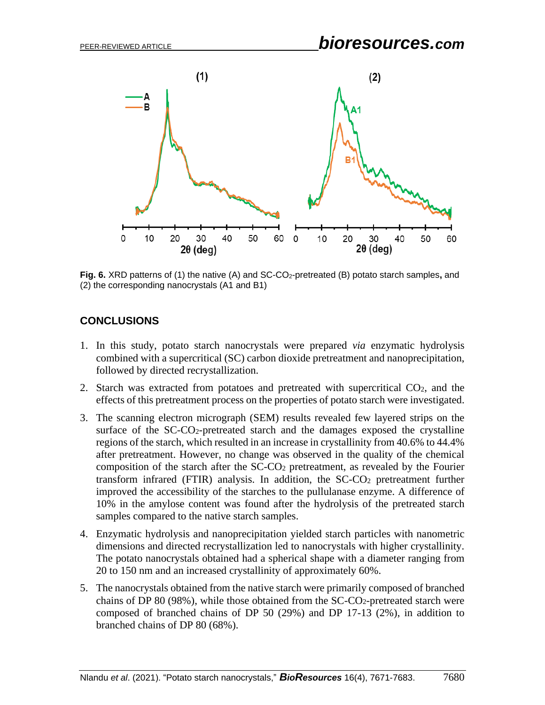

**Fig. 6.** XRD patterns of (1) the native (A) and SC-CO2-pretreated (B) potato starch samples**,** and (2) the corresponding nanocrystals (A1 and B1)

# **CONCLUSIONS**

- 1. In this study, potato starch nanocrystals were prepared *via* enzymatic hydrolysis combined with a supercritical (SC) carbon dioxide pretreatment and nanoprecipitation, followed by directed recrystallization.
- 2. Starch was extracted from potatoes and pretreated with supercritical CO2, and the effects of this pretreatment process on the properties of potato starch were investigated.
- 3. The scanning electron micrograph (SEM) results revealed few layered strips on the surface of the SC-CO2-pretreated starch and the damages exposed the crystalline regions of the starch, which resulted in an increase in crystallinity from 40.6% to 44.4% after pretreatment. However, no change was observed in the quality of the chemical composition of the starch after the  $SC-CO<sub>2</sub>$  pretreatment, as revealed by the Fourier transform infrared (FTIR) analysis. In addition, the SC-CO<sup>2</sup> pretreatment further improved the accessibility of the starches to the pullulanase enzyme. A difference of 10% in the amylose content was found after the hydrolysis of the pretreated starch samples compared to the native starch samples.
- 4. Enzymatic hydrolysis and nanoprecipitation yielded starch particles with nanometric dimensions and directed recrystallization led to nanocrystals with higher crystallinity. The potato nanocrystals obtained had a spherical shape with a diameter ranging from 20 to 150 nm and an increased crystallinity of approximately 60%.
- 5. The nanocrystals obtained from the native starch were primarily composed of branched chains of DP 80 (98%), while those obtained from the SC-CO2-pretreated starch were composed of branched chains of DP 50 (29%) and DP 17-13 (2%), in addition to branched chains of DP 80 (68%).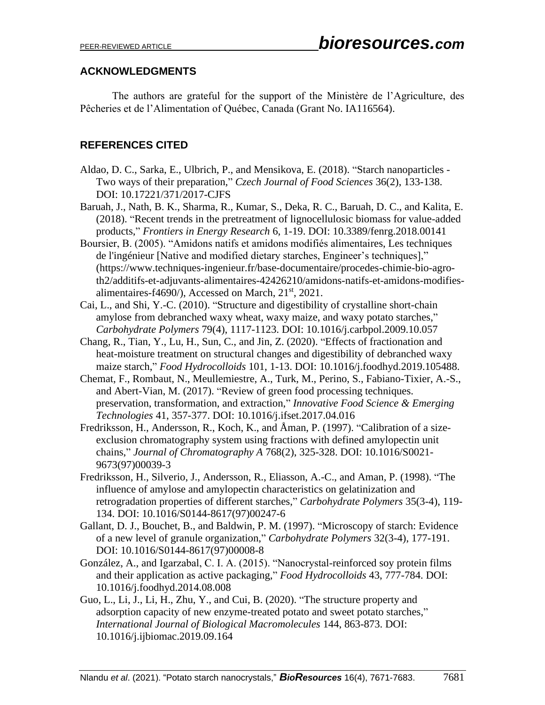## **ACKNOWLEDGMENTS**

The authors are grateful for the support of the Ministère de l'Agriculture, des Pêcheries et de l'Alimentation of Québec, Canada (Grant No. IA116564).

# **REFERENCES CITED**

- Aldao, D. C., Sarka, E., Ulbrich, P., and Mensikova, E. (2018). "Starch nanoparticles Two ways of their preparation," *Czech Journal of Food Sciences* 36(2), 133-138. DOI: 10.17221/371/2017-CJFS
- Baruah, J., Nath, B. K., Sharma, R., Kumar, S., Deka, R. C., Baruah, D. C., and Kalita, E. (2018). "Recent trends in the pretreatment of lignocellulosic biomass for value-added products," *Frontiers in Energy Research* 6, 1-19. DOI: 10.3389/fenrg.2018.00141
- Boursier, B. (2005). "Amidons natifs et amidons modifiés alimentaires, Les techniques de l'ingénieur [Native and modified dietary starches, Engineer's techniques]," (https://www.techniques-ingenieur.fr/base-documentaire/procedes-chimie-bio-agroth2/additifs-et-adjuvants-alimentaires-42426210/amidons-natifs-et-amidons-modifiesalimentaires-f4690/), Accessed on March, 21<sup>st</sup>, 2021.
- Cai, L., and Shi, Y.-C. (2010). "Structure and digestibility of crystalline short-chain amylose from debranched waxy wheat, waxy maize, and waxy potato starches," *Carbohydrate Polymers* 79(4), 1117-1123. DOI: 10.1016/j.carbpol.2009.10.057
- Chang, R., Tian, Y., Lu, H., Sun, C., and Jin, Z. (2020). "Effects of fractionation and heat-moisture treatment on structural changes and digestibility of debranched waxy maize starch," *Food Hydrocolloids* 101, 1-13. DOI: 10.1016/j.foodhyd.2019.105488.
- Chemat, F., Rombaut, N., Meullemiestre, A., Turk, M., Perino, S., Fabiano-Tixier, A.-S., and Abert-Vian, M. (2017). "Review of green food processing techniques. preservation, transformation, and extraction," *Innovative Food Science & Emerging Technologies* 41, 357-377. DOI: 10.1016/j.ifset.2017.04.016
- Fredriksson, H., Andersson, R., Koch, K., and Åman, P. (1997). "Calibration of a sizeexclusion chromatography system using fractions with defined amylopectin unit chains," *Journal of Chromatography A* 768(2), 325-328. DOI: 10.1016/S0021- 9673(97)00039-3
- Fredriksson, H., Silverio, J., Andersson, R., Eliasson, A.-C., and Aman, P. (1998). "The influence of amylose and amylopectin characteristics on gelatinization and retrogradation properties of different starches," *Carbohydrate Polymers* 35(3-4), 119- 134. DOI: 10.1016/S0144-8617(97)00247-6
- Gallant, D. J., Bouchet, B., and Baldwin, P. M. (1997). "Microscopy of starch: Evidence of a new level of granule organization," *Carbohydrate Polymers* 32(3-4), 177-191. DOI: 10.1016/S0144-8617(97)00008-8
- González, A., and Igarzabal, C. I. A. (2015). "Nanocrystal-reinforced soy protein films and their application as active packaging," *Food Hydrocolloids* 43, 777-784. DOI: 10.1016/j.foodhyd.2014.08.008
- Guo, L., Li, J., Li, H., Zhu, Y., and Cui, B. (2020). "The structure property and adsorption capacity of new enzyme-treated potato and sweet potato starches," *International Journal of Biological Macromolecules* 144, 863-873. DOI: 10.1016/j.ijbiomac.2019.09.164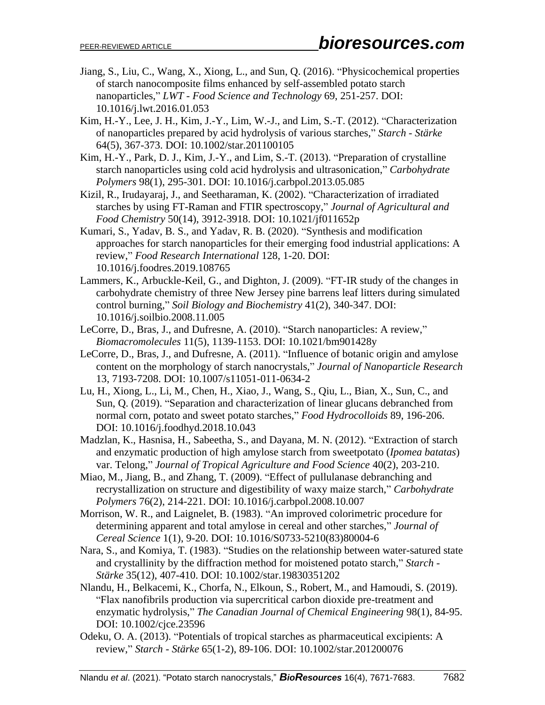- Jiang, S., Liu, C., Wang, X., Xiong, L., and Sun, Q. (2016). "Physicochemical properties of starch nanocomposite films enhanced by self-assembled potato starch nanoparticles," *LWT - Food Science and Technology* 69, 251-257. DOI: 10.1016/j.lwt.2016.01.053
- Kim, H.-Y., Lee, J. H., Kim, J.-Y., Lim, W.-J., and Lim, S.-T. (2012). "Characterization of nanoparticles prepared by acid hydrolysis of various starches," *Starch - Stärke* 64(5), 367-373. DOI: 10.1002/star.201100105
- Kim, H.-Y., Park, D. J., Kim, J.-Y., and Lim, S.-T. (2013). "Preparation of crystalline starch nanoparticles using cold acid hydrolysis and ultrasonication," *Carbohydrate Polymers* 98(1), 295-301. DOI: 10.1016/j.carbpol.2013.05.085
- Kizil, R., Irudayaraj, J., and Seetharaman, K. (2002). "Characterization of irradiated starches by using FT-Raman and FTIR spectroscopy," *Journal of Agricultural and Food Chemistry* 50(14), 3912-3918. DOI: 10.1021/jf011652p
- Kumari, S., Yadav, B. S., and Yadav, R. B. (2020). "Synthesis and modification approaches for starch nanoparticles for their emerging food industrial applications: A review," *Food Research International* 128, 1-20. DOI: 10.1016/j.foodres.2019.108765
- Lammers, K., Arbuckle-Keil, G., and Dighton, J. (2009). "FT-IR study of the changes in carbohydrate chemistry of three New Jersey pine barrens leaf litters during simulated control burning," *Soil Biology and Biochemistry* 41(2), 340-347. DOI: 10.1016/j.soilbio.2008.11.005
- LeCorre, D., Bras, J., and Dufresne, A. (2010). "Starch nanoparticles: A review," *Biomacromolecules* 11(5), 1139-1153. DOI: 10.1021/bm901428y
- LeCorre, D., Bras, J., and Dufresne, A. (2011). "Influence of botanic origin and amylose content on the morphology of starch nanocrystals," *Journal of Nanoparticle Research* 13, 7193-7208. DOI: 10.1007/s11051-011-0634-2
- Lu, H., Xiong, L., Li, M., Chen, H., Xiao, J., Wang, S., Qiu, L., Bian, X., Sun, C., and Sun, Q. (2019). "Separation and characterization of linear glucans debranched from normal corn, potato and sweet potato starches," *Food Hydrocolloids* 89, 196-206. DOI: 10.1016/j.foodhyd.2018.10.043
- Madzlan, K., Hasnisa, H., Sabeetha, S., and Dayana, M. N. (2012). "Extraction of starch and enzymatic production of high amylose starch from sweetpotato (*Ipomea batatas*) var. Telong," *Journal of Tropical Agriculture and Food Science* 40(2), 203-210.
- Miao, M., Jiang, B., and Zhang, T. (2009). "Effect of pullulanase debranching and recrystallization on structure and digestibility of waxy maize starch," *Carbohydrate Polymers* 76(2), 214-221. DOI: 10.1016/j.carbpol.2008.10.007
- Morrison, W. R., and Laignelet, B. (1983). "An improved colorimetric procedure for determining apparent and total amylose in cereal and other starches," *Journal of Cereal Science* 1(1), 9-20. DOI: 10.1016/S0733-5210(83)80004-6
- Nara, S., and Komiya, T. (1983). "Studies on the relationship between water-satured state and crystallinity by the diffraction method for moistened potato starch," *Starch - Stärke* 35(12), 407-410. DOI: 10.1002/star.19830351202
- Nlandu, H., Belkacemi, K., Chorfa, N., Elkoun, S., Robert, M., and Hamoudi, S. (2019). "Flax nanofibrils production via supercritical carbon dioxide pre-treatment and enzymatic hydrolysis," *The Canadian Journal of Chemical Engineering* 98(1), 84-95. DOI: 10.1002/cjce.23596
- Odeku, O. A. (2013). "Potentials of tropical starches as pharmaceutical excipients: A review," *Starch - Stärke* 65(1-2), 89-106. DOI: 10.1002/star.201200076